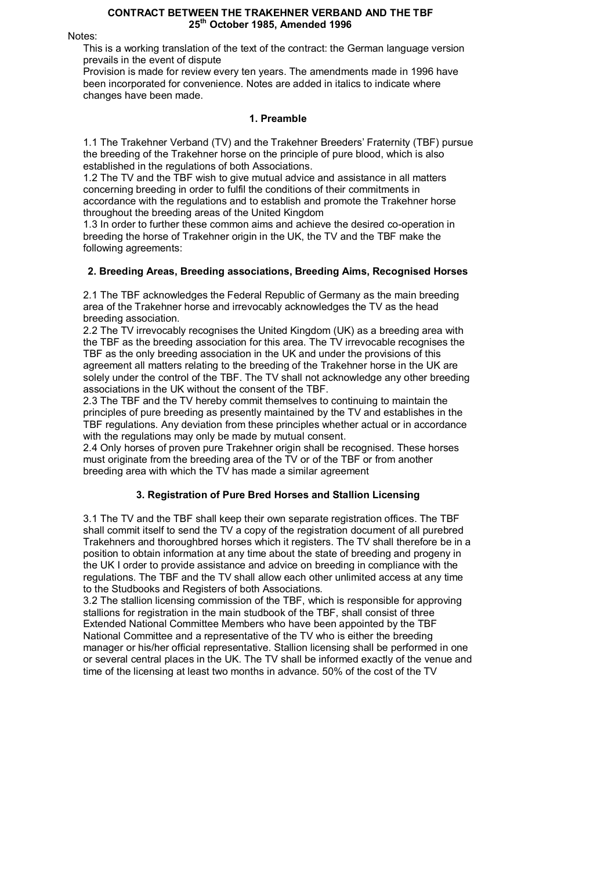#### CONTRACT BETWEEN THE TRAKEHNER VERBAND AND THE TBF 25<sup>th</sup> October 1985, Amended 1996

Notes:

This is a working translation of the text of the contract: the German language version prevails in the event of dispute

Provision is made for review every ten years. The amendments made in 1996 have been incorporated for convenience. Notes are added in italics to indicate where changes have been made.

## 1. Preamble

1.1 The Trakehner Verband (TV) and the Trakehner Breeders' Fraternity (TBF) pursue the breeding of the Trakehner horse on the principle of pure blood, which is also established in the regulations of both Associations.

1.2 The TV and the TBF wish to give mutual advice and assistance in all matters concerning breeding in order to fulfil the conditions of their commitments in accordance with the regulations and to establish and promote the Trakehner horse throughout the breeding areas of the United Kingdom

1.3 In order to further these common aims and achieve the desired co-operation in breeding the horse of Trakehner origin in the UK, the TV and the TBF make the following agreements:

## 2. Breeding Areas, Breeding associations, Breeding Aims, Recognised Horses

2.1 The TBF acknowledges the Federal Republic of Germany as the main breeding area of the Trakehner horse and irrevocably acknowledges the TV as the head breeding association.

2.2 The TV irrevocably recognises the United Kingdom (UK) as a breeding area with the TBF as the breeding association for this area. The TV irrevocable recognises the TBF as the only breeding association in the UK and under the provisions of this agreement all matters relating to the breeding of the Trakehner horse in the UK are solely under the control of the TBF. The TV shall not acknowledge any other breeding associations in the UK without the consent of the TBF.

2.3 The TBF and the TV hereby commit themselves to continuing to maintain the principles of pure breeding as presently maintained by the TV and establishes in the TBF regulations. Any deviation from these principles whether actual or in accordance with the regulations may only be made by mutual consent.

2.4 Only horses of proven pure Trakehner origin shall be recognised. These horses must originate from the breeding area of the TV or of the TBF or from another breeding area with which the TV has made a similar agreement

## 3. Registration of Pure Bred Horses and Stallion Licensing

3.1 The TV and the TBF shall keep their own separate registration offices. The TBF shall commit itself to send the TV a copy of the registration document of all purebred Trakehners and thoroughbred horses which it registers. The TV shall therefore be in a position to obtain information at any time about the state of breeding and progeny in the UK I order to provide assistance and advice on breeding in compliance with the regulations. The TBF and the TV shall allow each other unlimited access at any time to the Studbooks and Registers of both Associations.

3.2 The stallion licensing commission of the TBF, which is responsible for approving stallions for registration in the main studbook of the TBF, shall consist of three Extended National Committee Members who have been appointed by the TBF National Committee and a representative of the TV who is either the breeding manager or his/her official representative. Stallion licensing shall be performed in one or several central places in the UK. The TV shall be informed exactly of the venue and time of the licensing at least two months in advance. 50% of the cost of the TV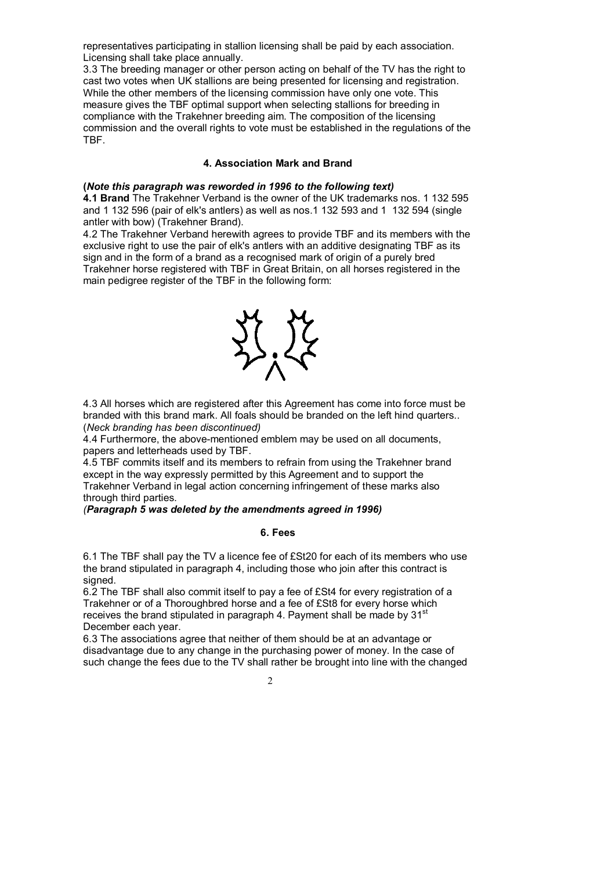representatives participating in stallion licensing shall be paid by each association. Licensing shall take place annually.

3.3 The breeding manager or other person acting on behalf of the TV has the right to cast two votes when UK stallions are being presented for licensing and registration. While the other members of the licensing commission have only one vote. This measure gives the TBF optimal support when selecting stallions for breeding in compliance with the Trakehner breeding aim. The composition of the licensing commission and the overall rights to vote must be established in the regulations of the TBF.

#### 4. Association Mark and Brand

#### (Note this paragraph was reworded in 1996 to the following text)

4.1 Brand The Trakehner Verband is the owner of the UK trademarks nos. 1 132 595 and 1 132 596 (pair of elk's antlers) as well as nos.1 132 593 and 1 132 594 (single antler with bow) (Trakehner Brand).

4.2 The Trakehner Verband herewith agrees to provide TBF and its members with the exclusive right to use the pair of elk's antlers with an additive designating TBF as its sign and in the form of a brand as a recognised mark of origin of a purely bred Trakehner horse registered with TBF in Great Britain, on all horses registered in the main pedigree register of the TBF in the following form:



4.3 All horses which are registered after this Agreement has come into force must be branded with this brand mark. All foals should be branded on the left hind quarters.. (Neck branding has been discontinued)

4.4 Furthermore, the above-mentioned emblem may be used on all documents, papers and letterheads used by TBF.

4.5 TBF commits itself and its members to refrain from using the Trakehner brand except in the way expressly permitted by this Agreement and to support the Trakehner Verband in legal action concerning infringement of these marks also through third parties.

#### (Paragraph 5 was deleted by the amendments agreed in 1996)

#### 6. Fees

6.1 The TBF shall pay the TV a licence fee of £St20 for each of its members who use the brand stipulated in paragraph 4, including those who join after this contract is signed.

6.2 The TBF shall also commit itself to pay a fee of £St4 for every registration of a Trakehner or of a Thoroughbred horse and a fee of £St8 for every horse which receives the brand stipulated in paragraph 4. Payment shall be made by 31<sup>st</sup> December each year.

6.3 The associations agree that neither of them should be at an advantage or disadvantage due to any change in the purchasing power of money. In the case of such change the fees due to the TV shall rather be brought into line with the changed